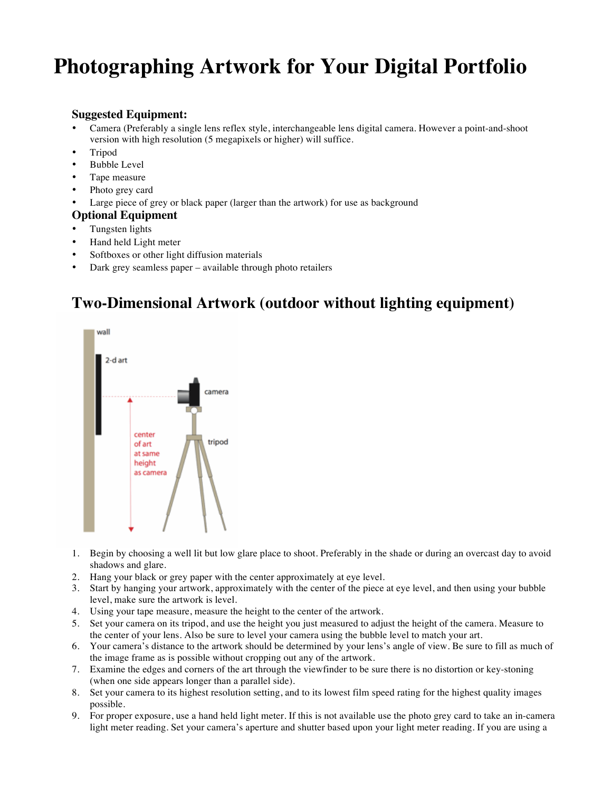# **Photographing Artwork for Your Digital Portfolio**

#### **Suggested Equipment:**

- Camera (Preferably a single lens reflex style, interchangeable lens digital camera. However a point-and-shoot version with high resolution (5 megapixels or higher) will suffice.
- Tripod
- Bubble Level
- Tape measure
- Photo grey card
- Large piece of grey or black paper (larger than the artwork) for use as background

#### **Optional Equipment**

- Tungsten lights
- Hand held Light meter
- Softboxes or other light diffusion materials
- Dark grey seamless paper available through photo retailers

# **Two-Dimensional Artwork (outdoor without lighting equipment)**



- 1. Begin by choosing a well lit but low glare place to shoot. Preferably in the shade or during an overcast day to avoid shadows and glare.
- 2. Hang your black or grey paper with the center approximately at eye level.
- 3. Start by hanging your artwork, approximately with the center of the piece at eye level, and then using your bubble level, make sure the artwork is level.
- 4. Using your tape measure, measure the height to the center of the artwork.
- 5. Set your camera on its tripod, and use the height you just measured to adjust the height of the camera. Measure to the center of your lens. Also be sure to level your camera using the bubble level to match your art.
- 6. Your camera's distance to the artwork should be determined by your lens's angle of view. Be sure to fill as much of the image frame as is possible without cropping out any of the artwork.
- 7. Examine the edges and corners of the art through the viewfinder to be sure there is no distortion or key-stoning (when one side appears longer than a parallel side).
- 8. Set your camera to its highest resolution setting, and to its lowest film speed rating for the highest quality images possible.
- 9. For proper exposure, use a hand held light meter. If this is not available use the photo grey card to take an in-camera light meter reading. Set your camera's aperture and shutter based upon your light meter reading. If you are using a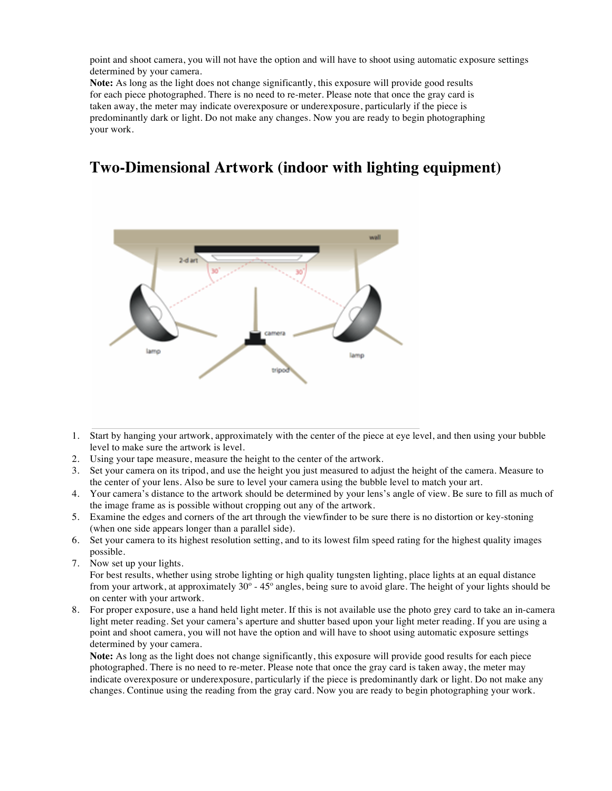point and shoot camera, you will not have the option and will have to shoot using automatic exposure settings determined by your camera.

**Note:** As long as the light does not change significantly, this exposure will provide good results for each piece photographed. There is no need to re-meter. Please note that once the gray card is taken away, the meter may indicate overexposure or underexposure, particularly if the piece is predominantly dark or light. Do not make any changes. Now you are ready to begin photographing your work.

### **Two-Dimensional Artwork (indoor with lighting equipment)**



- 1. Start by hanging your artwork, approximately with the center of the piece at eye level, and then using your bubble level to make sure the artwork is level.
- 2. Using your tape measure, measure the height to the center of the artwork.
- 3. Set your camera on its tripod, and use the height you just measured to adjust the height of the camera. Measure to the center of your lens. Also be sure to level your camera using the bubble level to match your art.
- 4. Your camera's distance to the artwork should be determined by your lens's angle of view. Be sure to fill as much of the image frame as is possible without cropping out any of the artwork.
- 5. Examine the edges and corners of the art through the viewfinder to be sure there is no distortion or key-stoning (when one side appears longer than a parallel side).
- 6. Set your camera to its highest resolution setting, and to its lowest film speed rating for the highest quality images possible.
- 7. Now set up your lights.

For best results, whether using strobe lighting or high quality tungsten lighting, place lights at an equal distance from your artwork, at approximately 30º - 45º angles, being sure to avoid glare. The height of your lights should be on center with your artwork.

8. For proper exposure, use a hand held light meter. If this is not available use the photo grey card to take an in-camera light meter reading. Set your camera's aperture and shutter based upon your light meter reading. If you are using a point and shoot camera, you will not have the option and will have to shoot using automatic exposure settings determined by your camera.

**Note:** As long as the light does not change significantly, this exposure will provide good results for each piece photographed. There is no need to re-meter. Please note that once the gray card is taken away, the meter may indicate overexposure or underexposure, particularly if the piece is predominantly dark or light. Do not make any changes. Continue using the reading from the gray card. Now you are ready to begin photographing your work.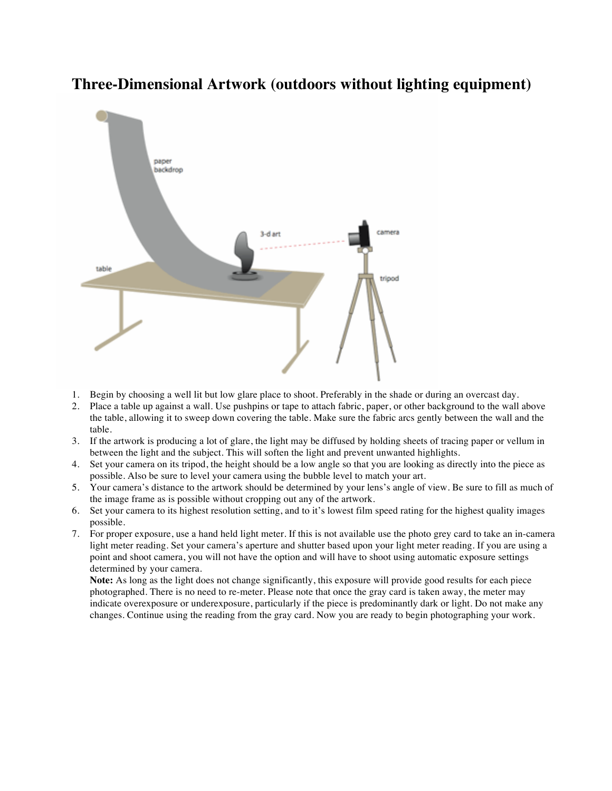

### **Three-Dimensional Artwork (outdoors without lighting equipment)**

- 1. Begin by choosing a well lit but low glare place to shoot. Preferably in the shade or during an overcast day.
- 2. Place a table up against a wall. Use pushpins or tape to attach fabric, paper, or other background to the wall above the table, allowing it to sweep down covering the table. Make sure the fabric arcs gently between the wall and the table.
- 3. If the artwork is producing a lot of glare, the light may be diffused by holding sheets of tracing paper or vellum in between the light and the subject. This will soften the light and prevent unwanted highlights.
- 4. Set your camera on its tripod, the height should be a low angle so that you are looking as directly into the piece as possible. Also be sure to level your camera using the bubble level to match your art.
- 5. Your camera's distance to the artwork should be determined by your lens's angle of view. Be sure to fill as much of the image frame as is possible without cropping out any of the artwork.
- 6. Set your camera to its highest resolution setting, and to it's lowest film speed rating for the highest quality images possible.
- 7. For proper exposure, use a hand held light meter. If this is not available use the photo grey card to take an in-camera light meter reading. Set your camera's aperture and shutter based upon your light meter reading. If you are using a point and shoot camera, you will not have the option and will have to shoot using automatic exposure settings determined by your camera.

**Note:** As long as the light does not change significantly, this exposure will provide good results for each piece photographed. There is no need to re-meter. Please note that once the gray card is taken away, the meter may indicate overexposure or underexposure, particularly if the piece is predominantly dark or light. Do not make any changes. Continue using the reading from the gray card. Now you are ready to begin photographing your work.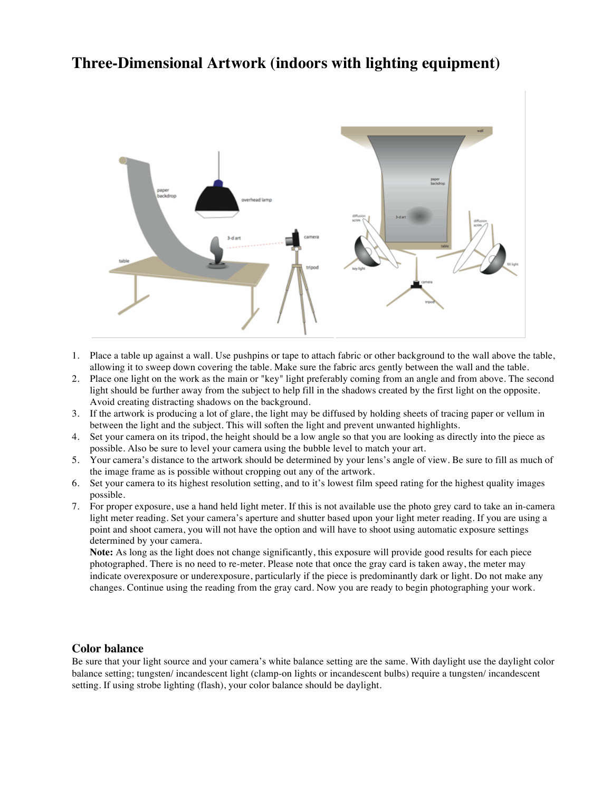### **Three-Dimensional Artwork (indoors with lighting equipment)**



- 1. Place a table up against a wall. Use pushpins or tape to attach fabric or other background to the wall above the table, allowing it to sweep down covering the table. Make sure the fabric arcs gently between the wall and the table.
- 2. Place one light on the work as the main or "key" light preferably coming from an angle and from above. The second light should be further away from the subject to help fill in the shadows created by the first light on the opposite. Avoid creating distracting shadows on the background.
- 3. If the artwork is producing a lot of glare, the light may be diffused by holding sheets of tracing paper or vellum in between the light and the subject. This will soften the light and prevent unwanted highlights.
- 4. Set your camera on its tripod, the height should be a low angle so that you are looking as directly into the piece as possible. Also be sure to level your camera using the bubble level to match your art.
- 5. Your camera's distance to the artwork should be determined by your lens's angle of view. Be sure to fill as much of the image frame as is possible without cropping out any of the artwork.
- 6. Set your camera to its highest resolution setting, and to it's lowest film speed rating for the highest quality images possible.
- 7. For proper exposure, use a hand held light meter. If this is not available use the photo grey card to take an in-camera light meter reading. Set your camera's aperture and shutter based upon your light meter reading. If you are using a point and shoot camera, you will not have the option and will have to shoot using automatic exposure settings determined by your camera.

**Note:** As long as the light does not change significantly, this exposure will provide good results for each piece photographed. There is no need to re-meter. Please note that once the gray card is taken away, the meter may indicate overexposure or underexposure, particularly if the piece is predominantly dark or light. Do not make any changes. Continue using the reading from the gray card. Now you are ready to begin photographing your work.

#### **Color balance**

Be sure that your light source and your camera's white balance setting are the same. With daylight use the daylight color balance setting; tungsten/ incandescent light (clamp-on lights or incandescent bulbs) require a tungsten/ incandescent setting. If using strobe lighting (flash), your color balance should be daylight.